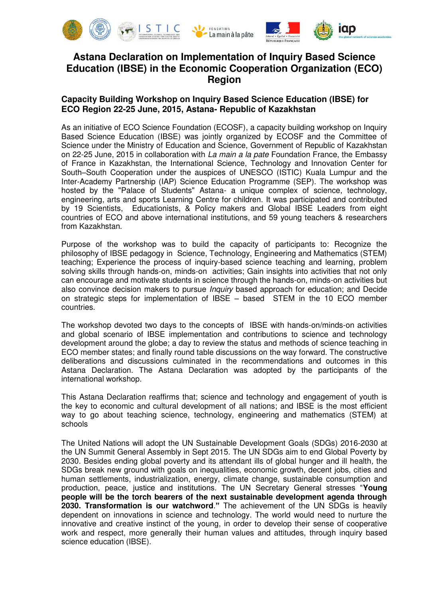

## **Astana Declaration on Implementation of Inquiry Based Science Education (IBSE) in the Economic Cooperation Organization (ECO) Region**

## **Capacity Building Workshop on Inquiry Based Science Education (IBSE) for ECO Region 22-25 June, 2015, Astana- Republic of Kazakhstan**

As an initiative of ECO Science Foundation (ECOSF), a capacity building workshop on Inquiry Based Science Education (IBSE) was jointly organized by ECOSF and the Committee of Science under the Ministry of Education and Science, Government of Republic of Kazakhstan on 22-25 June, 2015 in collaboration with *La main a la pate* Foundation France, the Embassy of France in Kazakhstan, the International Science, Technology and Innovation Center for South–South Cooperation under the auspices of UNESCO (ISTIC) Kuala Lumpur and the Inter-Academy Partnership (IAP) Science Education Programme (SEP). The workshop was hosted by the "Palace of Students" Astana- a unique complex of science, technology, engineering, arts and sports Learning Centre for children. It was participated and contributed by 19 Scientists, Educationists, & Policy makers and Global IBSE Leaders from eight countries of ECO and above international institutions, and 59 young teachers & researchers from Kazakhstan.

Purpose of the workshop was to build the capacity of participants to: Recognize the philosophy of IBSE pedagogy in Science, Technology, Engineering and Mathematics (STEM) teaching; Experience the process of inquiry-based science teaching and learning, problem solving skills through hands-on, minds-on activities; Gain insights into activities that not only can encourage and motivate students in science through the hands-on, minds-on activities but also convince decision makers to pursue *Inquiry* based approach for education; and Decide on strategic steps for implementation of IBSE – based STEM in the 10 ECO member countries.

The workshop devoted two days to the concepts of IBSE with hands-on/minds-on activities and global scenario of IBSE implementation and contributions to science and technology development around the globe; a day to review the status and methods of science teaching in ECO member states; and finally round table discussions on the way forward. The constructive deliberations and discussions culminated in the recommendations and outcomes in this Astana Declaration. The Astana Declaration was adopted by the participants of the international workshop.

This Astana Declaration reaffirms that; science and technology and engagement of youth is the key to economic and cultural development of all nations; and IBSE is the most efficient way to go about teaching science, technology, engineering and mathematics (STEM) at schools

The United Nations will adopt the UN Sustainable Development Goals (SDGs) 2016-2030 at the UN Summit General Assembly in Sept 2015. The UN SDGs aim to end Global Poverty by 2030. Besides ending global poverty and its attendant ills of global hunger and ill health*,* the SDGs break new ground with goals on inequalities, economic growth, decent jobs, cities and human settlements, industrialization, energy, climate change, sustainable consumption and production, peace, justice and institutions. The UN Secretary General stresses "**Young people will be the torch bearers of the next sustainable development agenda through 2030. Transformation is our watchword**.**"** The achievement of the UN SDGs is heavily dependent on innovations in science and technology. The world would need to nurture the innovative and creative instinct of the young, in order to develop their sense of cooperative work and respect, more generally their human values and attitudes, through inquiry based science education (IBSE).